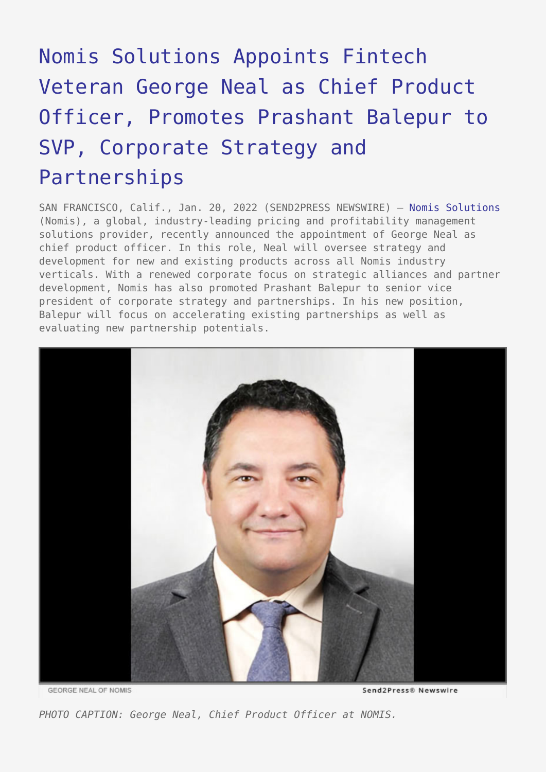## [Nomis Solutions Appoints Fintech](https://www.send2press.com/wire/nomis-solutions-appoints-fintech-veteran-george-neal-as-chief-product-officer-promotes-prashant-balepur-to-svp-corporate-strategy-and-partnerships/) [Veteran George Neal as Chief Product](https://www.send2press.com/wire/nomis-solutions-appoints-fintech-veteran-george-neal-as-chief-product-officer-promotes-prashant-balepur-to-svp-corporate-strategy-and-partnerships/) [Officer, Promotes Prashant Balepur to](https://www.send2press.com/wire/nomis-solutions-appoints-fintech-veteran-george-neal-as-chief-product-officer-promotes-prashant-balepur-to-svp-corporate-strategy-and-partnerships/) [SVP, Corporate Strategy and](https://www.send2press.com/wire/nomis-solutions-appoints-fintech-veteran-george-neal-as-chief-product-officer-promotes-prashant-balepur-to-svp-corporate-strategy-and-partnerships/) [Partnerships](https://www.send2press.com/wire/nomis-solutions-appoints-fintech-veteran-george-neal-as-chief-product-officer-promotes-prashant-balepur-to-svp-corporate-strategy-and-partnerships/)

SAN FRANCISCO, Calif., Jan. 20, 2022 (SEND2PRESS NEWSWIRE) — [Nomis Solutions](http://www.nomissolutions.com/) (Nomis), a global, industry-leading pricing and profitability management solutions provider, recently announced the appointment of George Neal as chief product officer. In this role, Neal will oversee strategy and development for new and existing products across all Nomis industry verticals. With a renewed corporate focus on strategic alliances and partner development, Nomis has also promoted Prashant Balepur to senior vice president of corporate strategy and partnerships. In his new position, Balepur will focus on accelerating existing partnerships as well as evaluating new partnership potentials.



**GEORGE NEAL OF NOMIS** 

Send2Press® Newswire

*PHOTO CAPTION: George Neal, Chief Product Officer at NOMIS.*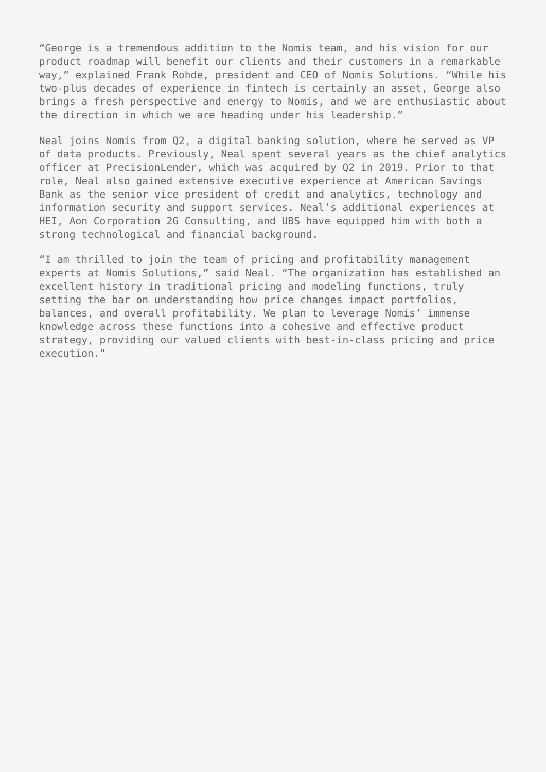"George is a tremendous addition to the Nomis team, and his vision for our product roadmap will benefit our clients and their customers in a remarkable way," explained Frank Rohde, president and CEO of Nomis Solutions. "While his two-plus decades of experience in fintech is certainly an asset, George also brings a fresh perspective and energy to Nomis, and we are enthusiastic about the direction in which we are heading under his leadership."

Neal joins Nomis from Q2, a digital banking solution, where he served as VP of data products. Previously, Neal spent several years as the chief analytics officer at PrecisionLender, which was acquired by Q2 in 2019. Prior to that role, Neal also gained extensive executive experience at American Savings Bank as the senior vice president of credit and analytics, technology and information security and support services. Neal's additional experiences at HEI, Aon Corporation 2G Consulting, and UBS have equipped him with both a strong technological and financial background.

"I am thrilled to join the team of pricing and profitability management experts at Nomis Solutions," said Neal. "The organization has established an excellent history in traditional pricing and modeling functions, truly setting the bar on understanding how price changes impact portfolios, balances, and overall profitability. We plan to leverage Nomis' immense knowledge across these functions into a cohesive and effective product strategy, providing our valued clients with best-in-class pricing and price execution."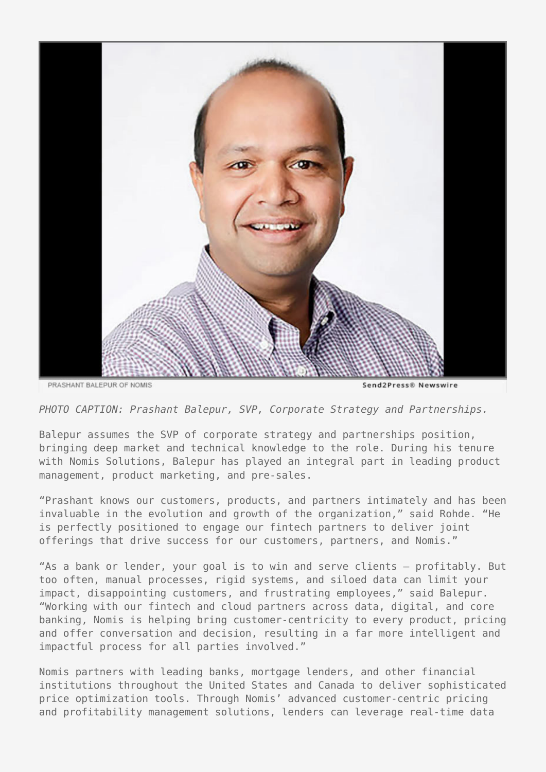

*PHOTO CAPTION: Prashant Balepur, SVP, Corporate Strategy and Partnerships.*

Balepur assumes the SVP of corporate strategy and partnerships position, bringing deep market and technical knowledge to the role. During his tenure with Nomis Solutions, Balepur has played an integral part in leading product management, product marketing, and pre-sales.

"Prashant knows our customers, products, and partners intimately and has been invaluable in the evolution and growth of the organization," said Rohde. "He is perfectly positioned to engage our fintech partners to deliver joint offerings that drive success for our customers, partners, and Nomis."

"As a bank or lender, your goal is to win and serve clients – profitably. But too often, manual processes, rigid systems, and siloed data can limit your impact, disappointing customers, and frustrating employees," said Balepur. "Working with our fintech and cloud partners across data, digital, and core banking, Nomis is helping bring customer-centricity to every product, pricing and offer conversation and decision, resulting in a far more intelligent and impactful process for all parties involved."

Nomis partners with leading banks, mortgage lenders, and other financial institutions throughout the United States and Canada to deliver sophisticated price optimization tools. Through Nomis' advanced customer-centric pricing and profitability management solutions, lenders can leverage real-time data